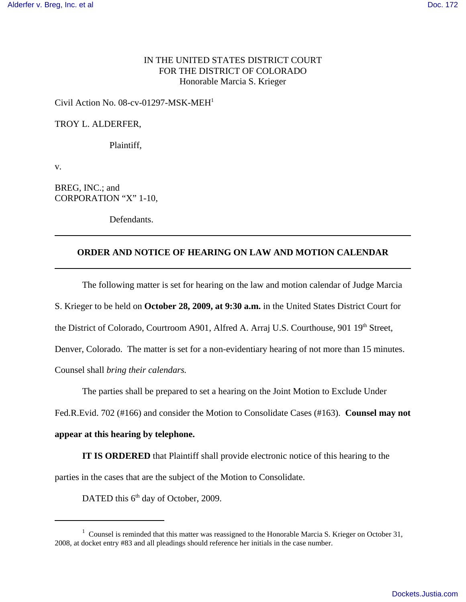# IN THE UNITED STATES DISTRICT COURT FOR THE DISTRICT OF COLORADO Honorable Marcia S. Krieger

### Civil Action No.  $08$ -cv-01297-MSK-MEH<sup>1</sup>

#### TROY L. ALDERFER,

Plaintiff,

v.

BREG, INC.; and CORPORATION "X" 1-10,

Defendants.

# **ORDER AND NOTICE OF HEARING ON LAW AND MOTION CALENDAR**

The following matter is set for hearing on the law and motion calendar of Judge Marcia

S. Krieger to be held on **October 28, 2009, at 9:30 a.m.** in the United States District Court for

the District of Colorado, Courtroom A901, Alfred A. Arraj U.S. Courthouse, 901 19th Street,

Denver, Colorado. The matter is set for a non-evidentiary hearing of not more than 15 minutes.

Counsel shall *bring their calendars.*

The parties shall be prepared to set a hearing on the Joint Motion to Exclude Under

Fed.R.Evid. 702 (#166) and consider the Motion to Consolidate Cases (#163). **Counsel may not**

### **appear at this hearing by telephone.**

**IT IS ORDERED** that Plaintiff shall provide electronic notice of this hearing to the parties in the cases that are the subject of the Motion to Consolidate.

DATED this 6<sup>th</sup> day of October, 2009.

 $1$  Counsel is reminded that this matter was reassigned to the Honorable Marcia S. Krieger on October 31, 2008, at docket entry #83 and all pleadings should reference her initials in the case number.